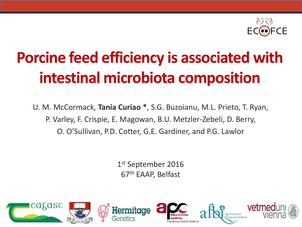

# **Porcine feed efficiency is associated with intestinal microbiota composition**

U. M. McCormack, **Tania Curiao \***, S.G. Buzoianu, M.L. Prieto, T. Ryan, P. Varley, F. Crispie, E. Magowan, B.U. Metzler-Zebeli, D. Berry, O. O'Sullivan, P.D. Cotter, G.E. Gardiner, and P.G. Lawlor

> 1<sup>st</sup> September 2016 67th EAAP, Belfast

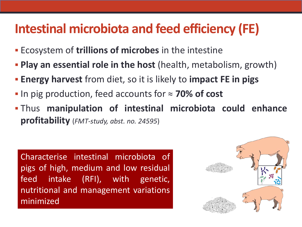## **Intestinal microbiota and feed efficiency (FE)**

- Ecosystem of **trillions of microbes** in the intestine
- **Play an essential role in the host** (health, metabolism, growth)
- **Energy harvest** from diet, so it is likely to **impact FE in pigs**
- In pig production, feed accounts for ≈ **70% of cost**
- Thus **manipulation of intestinal microbiota could enhance profitability** (*FMT-study, abst. no. 24595*)

Characterise intestinal microbiota of pigs of high, medium and low residual feed intake (RFI), with genetic, nutritional and management variations minimized

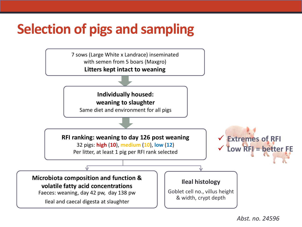## **Selection of pigs and sampling**

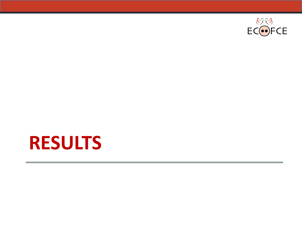

# **RESULTS**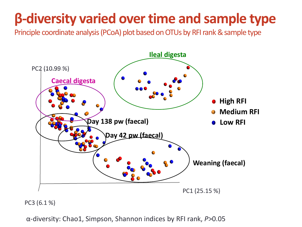# **β-diversity varied over time and sample type**

Principle coordinate analysis (PCoA) plot based on OTUs by RFI rank & sample type



PC3 (6.1 %)

α-diversity: Chao1, Simpson, Shannon indices by RFI rank, *P*>0.05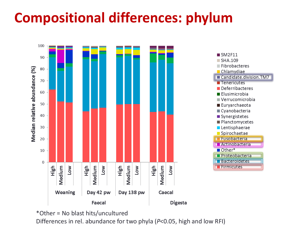# **Compositional differences: phylum**



\*Other = No blast hits/uncultured

Differences in rel. abundance for two phyla (*P*<0.05, high and low RFI)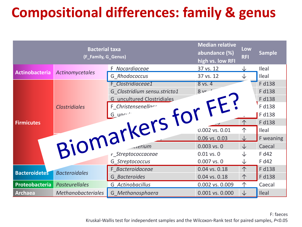# **Compositional differences: family & genus**

|                       | <b>Median relative</b><br>abundance (%)<br>high vs. low RFI | Low<br><b>RFI</b>            | <b>Sample</b>   |   |           |
|-----------------------|-------------------------------------------------------------|------------------------------|-----------------|---|-----------|
| <b>Actinobacteria</b> |                                                             | F Nocardiaceae               | 37 vs. 12       | ↓ | Ileal     |
|                       | <b>Actinomycetales</b>                                      | G Rhodococcus                | 37 vs. 12       | ↓ | Ileal     |
|                       |                                                             | F Clostridiaceae1            | 8 vs. 4         |   | F d138    |
|                       |                                                             | G Clostridium sensu.stricto1 | 8v              |   | F d138    |
|                       |                                                             |                              |                 |   | F d138    |
|                       |                                                             |                              |                 |   | F d138    |
|                       |                                                             |                              |                 |   | F d138    |
| <b>Firmicutes</b>     |                                                             |                              |                 |   | F d138    |
|                       |                                                             |                              |                 |   | Ileal     |
|                       |                                                             |                              |                 |   | F weaning |
| Biomarkers for FE?    |                                                             |                              |                 |   | Caecal    |
|                       |                                                             |                              |                 |   | F d42     |
|                       |                                                             | G Streptococcus              | 0.007 vs. 0     | ↓ | F d42     |
| <b>Bacteroidetes</b>  | <b>Bacteroidales</b>                                        | F Bacteroidaceae             | 0.04 vs. 0.18   |   | F d138    |
|                       |                                                             | G Bacteroides                | 0.04 vs. 0.18   | 个 | F d138    |
| Proteobacteria        | <b>Pasteurellales</b>                                       | G Actinobacillus             | 0.002 vs. 0.009 | 个 | Caecal    |
| <b>Archaea</b>        | <b>Methanobacteriales</b>                                   | G Methanosphaera             | 0.001 vs. 0.000 | ↓ | Ileal     |

F: faeces Kruskal-Wallis test for independent samples and the Wilcoxon-Rank test for paired samples, *P*<0.05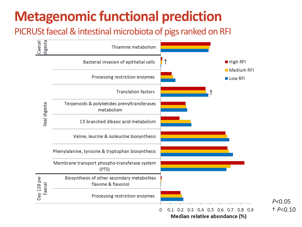# **Metagenomic functional prediction**

PICRUSt faecal & intestinal microbiota of pigs ranked on RFI

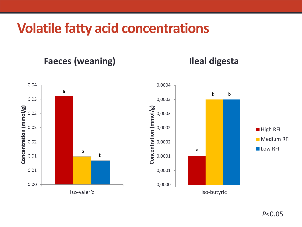## **Volatile fatty acid concentrations**

**Faeces (weaning)**

**Ileal digesta**

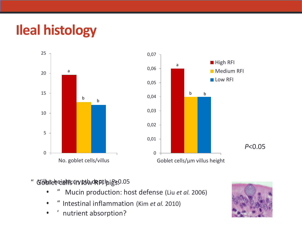# **Ileal histology**



- " Goblet cells in low RFI pigs: Villus height:crypth depth, *P*>0.05
	- " Mucin production: host defense (Liu *et al.* 2006)
	- " Intestinal inflammation (Kim *et al.* 2010)
	- nutrient absorption?

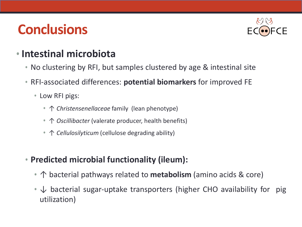## **Conclusions**



#### • **Intestinal microbiota**

- No clustering by RFI, but samples clustered by age & intestinal site
- RFI-associated differences: **potential biomarkers** for improved FE
	- Low RFI pigs:
		- ↑ *Christensenellaceae* family (lean phenotype)
		- ↑ *Oscillibacter* (valerate producer, health benefits)
		- ↑ *Cellulosilyticum* (cellulose degrading ability)
- **Predicted microbial functionality (ileum):**
	- ↑ bacterial pathways related to **metabolism** (amino acids & core)
	- $\downarrow$  bacterial sugar-uptake transporters (higher CHO availability for pig utilization)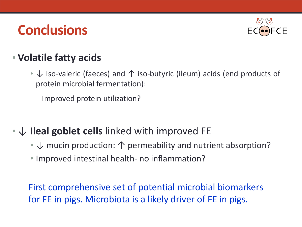## **Conclusions**



#### • **Volatile fatty acids**

• ↓ Iso-valeric (faeces) and 个 iso-butyric (ileum) acids (end products of protein microbial fermentation):

Improved protein utilization?

#### • ↓ **Ileal goblet cells** linked with improved FE

- $\downarrow$  mucin production:  $\uparrow$  permeability and nutrient absorption?
- Improved intestinal health- no inflammation?

First comprehensive set of potential microbial biomarkers for FE in pigs. Microbiota is a likely driver of FE in pigs.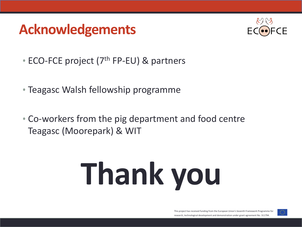## **Acknowledgements**



- ECO-FCE project ( $7<sup>th</sup>$  FP-EU) & partners
- Teagasc Walsh fellowship programme
- Co-workers from the pig department and food centre Teagasc (Moorepark) & WIT

# **Thank you**

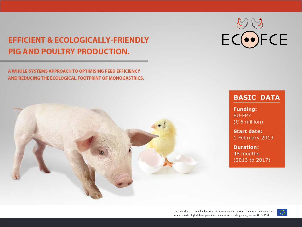#### **EFFICIENT & ECOLOGICALLY-FRIENDLY** PIG AND POULTRY PRODUCTION.

A WHOLE-SYSTEMS APPROACH TO OPTIMISING FEED EFFICIENCY AND REDUCING THE ECOLOGICAL FOOTPRINT OF MONOGASTRICS.



ECOFCE

#### **BASIC DATA**

**Funding:** EU-FP7  $(E 6$  million)

**Start date:** 1 February 2013

**Duration:** 48 months (2013 to 2017)

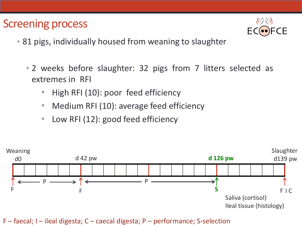#### Screening process



- 81 pigs, individually housed from weaning to slaughter
	- 2 weeks before slaughter: 32 pigs from 7 litters selected as extremes in RFI
		- High RFI (10): poor feed efficiency
		- Medium RFI (10): average feed efficiency
		- Low RFI (12): good feed efficiency



F – faecal; I – ileal digesta; C – caecal digesta; P – performance; S-selection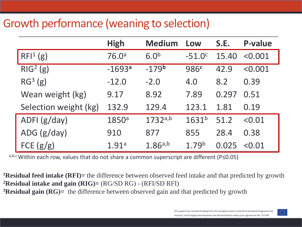#### Growth performance (weaning to selection)

|                       | <b>High</b>       | <b>Medium</b>    | Low               | S.E.  | <b>P-value</b> |
|-----------------------|-------------------|------------------|-------------------|-------|----------------|
| RFI <sup>1</sup> (g)  | 76.0 <sup>a</sup> | 6.0 <sup>b</sup> | $-51.0c$          | 15.40 | < 0.001        |
| RIG <sup>2</sup> (g)  | $-1693a$          | $-179b$          | 986 <sup>c</sup>  | 42.9  | < 0.001        |
| RG <sup>3</sup> (g)   | $-12.0$           | $-2.0$           | 4.0               | 8.2   | 0.39           |
| Wean weight (kg)      | 9.17              | 8.92             | 7.89              | 0.297 | 0.51           |
| Selection weight (kg) | 132.9             | 129.4            | 123.1             | 1.81  | 0.19           |
| ADFI (g/day)          | 1850 <sup>a</sup> | 1732a,b          | $1631^{b}$        | 51.2  | < 0.01         |
| ADG $(g/day)$         | 910               | 877              | 855               | 28.4  | 0.38           |
| FCE $(g/g)$           | 1.91a             | 1.86a,b          | 1.79 <sup>b</sup> | 0.025 | < 0.01         |

a,b,c Within each row, values that do not share a common superscript are different (P≤0.05)

**1Residual feed intake (RFI)=** the difference between observed feed intake and that predicted by growth **2Residual intake and gain (RIG)=** (RG/SD RG) - (RFI/SD RFI) **3Residual gain (RG)=** the difference between observed gain and that predicted by growth

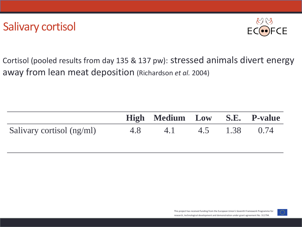

Cortisol (pooled results from day 135 & 137 pw): stressed animals divert energy away from lean meat deposition (Richardson *et al.* 2004)

|                           | High Medium Low S.E. P-value |  |  |
|---------------------------|------------------------------|--|--|
| Salivary cortisol (ng/ml) | 4.8 4.1 4.5 1.38 0.74        |  |  |

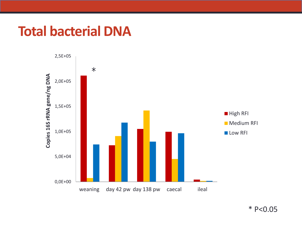## **Total bacterial DNA**



 $\text{* P}<\text{0.05}$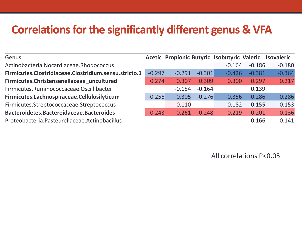#### **Correlations for the significantly different genus & VFA**

| Genus                                                 |          |          |          | Acetic Propionic Butyric Isobutyric Valeric |          | <b>Isovaleric</b> |
|-------------------------------------------------------|----------|----------|----------|---------------------------------------------|----------|-------------------|
| Actinobacteria.Nocardiaceae.Rhodococcus               |          |          |          | $-0.164$                                    | $-0.186$ | $-0.180$          |
| Firmicutes.Clostridiaceae.Clostridium.sensu.stricto.1 | $-0.297$ | $-0.291$ | $-0.301$ | $-0.426$                                    | $-0.381$ | $-0.364$          |
| Firmicutes.Christensenellaceae_uncultured             | 0.274    | 0.307    | 0.309    | 0.300                                       | 0.297    | 0.217             |
| Firmicutes.Ruminococcaceae.Oscillibacter              |          | $-0.154$ | $-0.164$ |                                             | 0.139    |                   |
| Firmicutes.Lachnospiraceae.Cellulosilyticum           | $-0.256$ | $-0.305$ | $-0.276$ | $-0.356$                                    | $-0.286$ | $-0.286$          |
| Firmicutes.Streptococcaceae.Streptococcus             |          | $-0.110$ |          | $-0.182$                                    | $-0.155$ | $-0.153$          |
| Bacteroidetes.Bacteroidaceae.Bacteroides              | 0.243    | 0.261    | 0.248    | 0.219                                       | 0.201    | 0.136             |
| Proteobacteria. Pasteurellaceae. Actinobacillus       |          |          |          |                                             | $-0.166$ | $-0.141$          |

All correlations P<0.05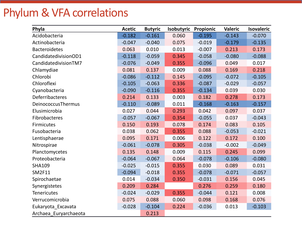### Phylum & VFA correlations

| Phyla                  | <b>Acetic</b> | <b>Butyric</b> | Isobutyric | Propionic | <b>Valeric</b> | <b>Isovaleric</b> |
|------------------------|---------------|----------------|------------|-----------|----------------|-------------------|
| Acidobacteria          | $-0.182$      | $-0.161$       | 0.060      | $-0.195$  | $-0.143$       | $-0.070$          |
| Actinobacteria         | $-0.047$      | $-0.040$       | 0.075      | $-0.019$  | $-0.179$       | $-0.135$          |
| <b>Bacteroidetes</b>   | 0.063         | 0.010          | 0.013      | $-0.007$  | 0.213          | 0.173             |
| CandidatedivisionOD1   | $-0.118$      | $-0.059$       | 0.345      | $-0.058$  | $-0.080$       | $-0.088$          |
| CandidatedivisionTM7   | $-0.076$      | $-0.049$       | 0.355      | $-0.096$  | 0.049          | 0.017             |
| Chlamydiae             | 0.081         | 0.137          | 0.009      | 0.088     | 0.169          | 0.218             |
| Chlorobi               | $-0.086$      | $-0.112$       | 0.145      | $-0.095$  | $-0.072$       | $-0.105$          |
| Chloroflexi            | $-0.105$      | $-0.063$       | 0.336      | $-0.087$  | $-0.029$       | $-0.057$          |
| Cyanobacteria          | $-0.090$      | $-0.116$       | 0.355      | $-0.134$  | 0.039          | 0.030             |
| <b>Deferribacteres</b> | 0.214         | 0.133          | 0.003      | 0.182     | 0.278          | 0.173             |
| DeinococcusThermus     | $-0.110$      | $-0.089$       | 0.011      | $-0.168$  | $-0.163$       | $-0.157$          |
| Elusimicrobia          | 0.027         | 0.044          | 0.293      | 0.042     | 0.097          | 0.037             |
| Fibrobacteres          | $-0.057$      | $-0.067$       | 0.354      | $-0.055$  | 0.037          | $-0.043$          |
| <b>Firmicutes</b>      | 0.150         | 0.193          | 0.078      | 0.174     | 0.083          | 0.105             |
| Fusobacteria           | 0.038         | 0.062          | 0.355      | 0.088     | $-0.053$       | $-0.021$          |
| Lentisphaerae          | 0.095         | 0.171          | 0.006      | 0.122     | 0.172          | 0.100             |
| Nitrospirae            | $-0.061$      | $-0.078$       | 0.305      | $-0.038$  | $-0.002$       | $-0.049$          |
| Planctomycetes         | 0.135         | 0.148          | 0.009      | 0.115     | 0.245          | 0.099             |
| Proteobacteria         | $-0.064$      | $-0.067$       | 0.064      | $-0.078$  | $-0.106$       | $-0.080$          |
| <b>SHA109</b>          | $-0.025$      | $-0.015$       | 0.355      | 0.030     | 0.089          | 0.031             |
| <b>SM2F11</b>          | $-0.094$      | $-0.018$       | 0.355      | $-0.078$  | $-0.071$       | $-0.057$          |
| Spirochaetae           | 0.014         | $-0.034$       | 0.350      | $-0.031$  | 0.156          | 0.045             |
| Synergistetes          | 0.209         | 0.284          |            | 0.276     | 0.259          | 0.180             |
| <b>Tenericutes</b>     | $-0.024$      | $-0.029$       | 0.355      | $-0.044$  | 0.121          | 0.008             |
| Verrucomicrobia        | 0.075         | 0.088          | 0.060      | 0.098     | 0.168          | 0.076             |
| Eukaryota_Excavata     | $-0.028$      | $-0.104$       | 0.224      | $-0.036$  | 0.013          | $-0.103$          |
| Archaea Euryarchaeota  |               | 0.213          |            |           |                |                   |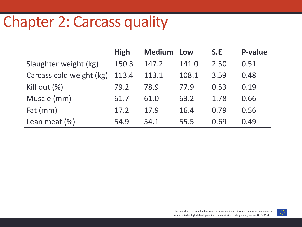# Chapter 2: Carcass quality

|                          | <b>High</b> | <b>Medium</b> | Low   | S.E  | <b>P-value</b> |
|--------------------------|-------------|---------------|-------|------|----------------|
| Slaughter weight (kg)    | 150.3       | 147.2         | 141.0 | 2.50 | 0.51           |
| Carcass cold weight (kg) | 113.4       | 113.1         | 108.1 | 3.59 | 0.48           |
| Kill out $(\%)$          | 79.2        | 78.9          | 77.9  | 0.53 | 0.19           |
| Muscle (mm)              | 61.7        | 61.0          | 63.2  | 1.78 | 0.66           |
| Fat (mm)                 | 17.2        | 17.9          | 16.4  | 0.79 | 0.56           |
| Lean meat $(\%)$         | 54.9        | 54.1          | 55.5  | 0.69 | 0.49           |

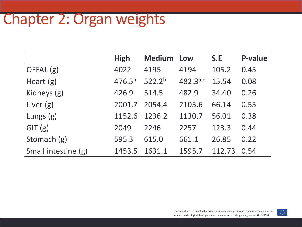# Chapter 2: Organ weights

|                     | <b>High</b>        | <b>Medium</b>      | Low      | S.E    | <b>P-value</b> |
|---------------------|--------------------|--------------------|----------|--------|----------------|
| OFFAL (g)           | 4022               | 4195               | 4194     | 105.2  | 0.45           |
| Heart $(g)$         | 476.5 <sup>a</sup> | 522.2 <sup>b</sup> | 482.3a,b | 15.54  | 0.08           |
| Kidneys (g)         | 426.9              | 514.5              | 482.9    | 34.40  | 0.26           |
| Liver $(g)$         | 2001.7             | 2054.4             | 2105.6   | 66.14  | 0.55           |
| Lungs $(g)$         | 1152.6             | 1236.2             | 1130.7   | 56.01  | 0.38           |
| GIT(g)              | 2049               | 2246               | 2257     | 123.3  | 0.44           |
| Stomach (g)         | 595.3              | 615.0              | 661.1    | 26.85  | 0.22           |
| Small intestine (g) | 1453.5             | 1631.1             | 1595.7   | 112.73 | 0.54           |